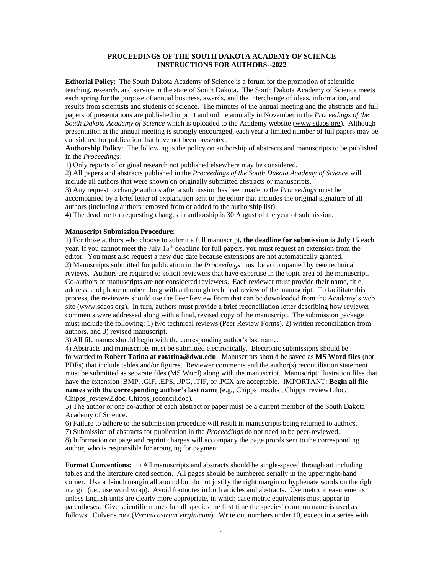# **PROCEEDINGS OF THE SOUTH DAKOTA ACADEMY OF SCIENCE INSTRUCTIONS FOR AUTHORS--2022**

**Editorial Policy**: The South Dakota Academy of Science is a forum for the promotion of scientific teaching, research, and service in the state of South Dakota. The South Dakota Academy of Science meets each spring for the purpose of annual business, awards, and the interchange of ideas, information, and results from scientists and students of science. The minutes of the annual meeting and the abstracts and full papers of presentations are published in print and online annually in November in the *Proceedings of the South Dakota Academy of Science* which is uploaded to the Academy website [\(www.sdaos.org\)](http://www.sdaos.org/). Although presentation at the annual meeting is strongly encouraged, each year a limited number of full papers may be considered for publication that have not been presented.

**Authorship Policy**: The following is the policy on authorship of abstracts and manuscripts to be published in the *Proceedings*:

1) Only reports of original research not published elsewhere may be considered.

2) All papers and abstracts published in the *Proceedings of the South Dakota Academy of Science* will include all authors that were shown on originally submitted abstracts or manuscripts.

3) Any request to change authors after a submission has been made to the *Proceedings* must be accompanied by a brief letter of explanation sent to the editor that includes the original signature of all authors (including authors removed from or added to the authorship list).

4) The deadline for requesting changes in authorship is 30 August of the year of submission.

## **Manuscript Submission Procedure**:

1) For those authors who choose to submit a full manuscript, **the deadline for submission is July 15** each year. If you cannot meet the July 15<sup>th</sup> deadline for full papers, you must request an extension from the editor. You must also request a new due date because extensions are not automatically granted. 2) Manuscripts submitted for publication in the *Proceedings* must be accompanied by **two** technical reviews. Authors are required to solicit reviewers that have expertise in the topic area of the manuscript. Co-authors of manuscripts are not considered reviewers. Each reviewer must provide their name, title, address, and phone number along with a thorough technical review of the manuscript. To facilitate this process, the reviewers should use the Peer Review Form that can be downloaded from the Academy's web site (www.sdaos.org). In turn, authors must provide a brief reconciliation letter describing how reviewer comments were addressed along with a final, revised copy of the manuscript. The submission package must include the following: 1) two technical reviews (Peer Review Forms), 2) written reconciliation from authors, and 3) revised manuscript.

3) All file names should begin with the corresponding author's last name.

4) Abstracts and manuscripts must be submitted electronically. Electronic submissions should be forwarded to **Robert Tatina at [rotatina@dwu.edu](mailto:terri.symens@sdstate.edu)**. Manuscripts should be saved as **MS Word files** (not PDFs) that include tables and/or figures. Reviewer comments and the author(s) reconciliation statement must be submitted as separate files (MS Word) along with the manuscript. Manuscript illustration files that have the extension .BMP, .GIF, .EPS, .JPG, .TIF, or .PCX are acceptable. IMPORTANT: **Begin all file names with the corresponding author's last name** (e.g., Chipps\_ms.doc, Chipps\_review1.doc, Chipps\_review2.doc, Chipps\_reconcil.doc).

5) The author or one co-author of each abstract or paper must be a current member of the South Dakota Academy of Science.

6) Failure to adhere to the submission procedure will result in manuscripts being returned to authors.

7) Submission of abstracts for publication in the *Proceedings* do not need to be peer-reviewed.

8) Information on page and reprint charges will accompany the page proofs sent to the corresponding author, who is responsible for arranging for payment.

**Format Conventions:** 1) All manuscripts and abstracts should be single-spaced throughout including tables and the literature cited section. All pages should be numbered serially in the upper right-hand corner. Use a 1-inch margin all around but do not justify the right margin or hyphenate words on the right margin (i.e., use word wrap). Avoid footnotes in both articles and abstracts. Use metric measurements unless English units are clearly more appropriate, in which case metric equivalents must appear in parentheses. Give scientific names for all species the first time the species' common name is used as follows: Culver's root (*Veronicastrum virginicum*). Write out numbers under 10, except in a series with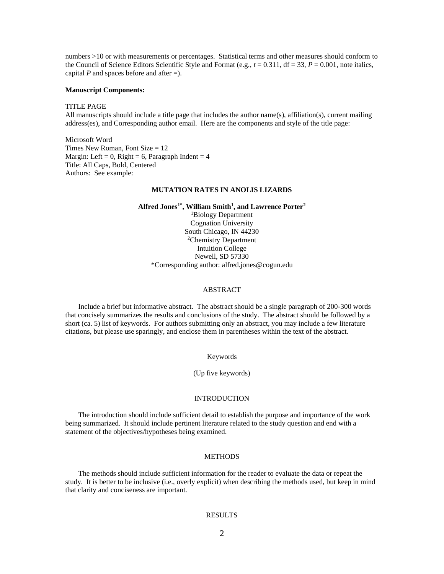numbers >10 or with measurements or percentages. Statistical terms and other measures should conform to the Council of Science Editors Scientific Style and Format (e.g.,  $t = 0.311$ , df = 33,  $P = 0.001$ , note italics, capital *P* and spaces before and after  $=$ ).

#### **Manuscript Components:**

#### TITLE PAGE

All manuscripts should include a title page that includes the author name(s), affiliation(s), current mailing address(es), and Corresponding author email. Here are the components and style of the title page:

Microsoft Word Times New Roman, Font Size  $= 12$ Margin: Left = 0, Right = 6, Paragraph Indent =  $4$ Title: All Caps, Bold, Centered Authors: See example:

#### **MUTATION RATES IN ANOLIS LIZARDS**

**Alfred Jones1\* , William Smith<sup>1</sup> , and Lawrence Porter<sup>2</sup>**

<sup>1</sup>Biology Department Cognation University South Chicago, IN 44230 <sup>2</sup>Chemistry Department Intuition College Newell, SD 57330 \*Corresponding author: alfred.jones@cogun.edu

#### ABSTRACT

Include a brief but informative abstract. The abstract should be a single paragraph of 200-300 words that concisely summarizes the results and conclusions of the study. The abstract should be followed by a short (ca. 5) list of keywords. For authors submitting only an abstract, you may include a few literature citations, but please use sparingly, and enclose them in parentheses within the text of the abstract.

Keywords

## (Up five keywords)

## INTRODUCTION

The introduction should include sufficient detail to establish the purpose and importance of the work being summarized. It should include pertinent literature related to the study question and end with a statement of the objectives/hypotheses being examined.

#### METHODS

The methods should include sufficient information for the reader to evaluate the data or repeat the study. It is better to be inclusive (i.e., overly explicit) when describing the methods used, but keep in mind that clarity and conciseness are important.

## RESULTS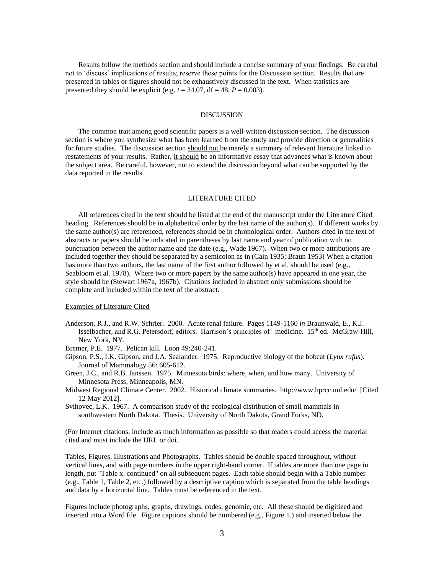Results follow the methods section and should include a concise summary of your findings. Be careful not to 'discuss' implications of results; reserve these points for the Discussion section. Results that are presented in tables or figures should not be exhaustively discussed in the text. When statistics are presented they should be explicit (e.g.  $t = 34.07$ , df = 48,  $P = 0.003$ ).

## DISCUSSION

The common trait among good scientific papers is a well-written discussion section. The discussion section is where you synthesize what has been learned from the study and provide direction or generalities for future studies. The discussion section should not be merely a summary of relevant literature linked to restatements of your results. Rather, it should be an informative essay that advances what is known about the subject area. Be careful, however, not to extend the discussion beyond what can be supported by the data reported in the results.

#### LITERATURE CITED

All references cited in the text should be listed at the end of the manuscript under the Literature Cited heading. References should be in alphabetical order by the last name of the author(s). If different works by the same author(s) are referenced, references should be in chronological order. Authors cited in the text of abstracts or papers should be indicated in parentheses by last name and year of publication with no punctuation between the author name and the date (e.g., Wade 1967). When two or more attributions are included together they should be separated by a semicolon as in (Cain 1935; Braun 1953) When a citation has more than two authors, the last name of the first author followed by et al. should be used (e.g., Seabloom et al. 1978). Where two or more papers by the same author(s) have appeared in one year, the style should be (Stewart 1967a, 1967b). Citations included in abstract only submissions should be complete and included within the text of the abstract.

## Examples of Literature Cited

Anderson, R.J., and R.W. Schrier. 2000. Acute renal failure. Pages 1149-1160 *in* Braunwald, E., K.J. Isselbacher, and R.G. Petersdorf, editors. Harrison's principles of medicine. 15th ed. McGraw-Hill, New York, NY.

Bremer, P.E. 1977. Pelican kill. Loon 49:240-241.

- Gipson, P.S., I.K. Gipson, and J.A. Sealander. 1975. Reproductive biology of the bobcat (*Lynx rufus*). Journal of Mammalogy 56: 605-612.
- Green, J.C., and R.B. Janssen. 1975. Minnesota birds: where, when, and how many. University of Minnesota Press, Minneapolis, MN.
- Midwest Regional Climate Center. 2002. Historical climate summaries. http://www.hprcc.unl.edu/ [Cited 12 May 2012].

Svihovec, L.K. 1967. A comparison study of the ecological distribution of small mammals in southwestern North Dakota. Thesis. University of North Dakota, Grand Forks, ND.

(For Internet citations, include as much information as possible so that readers could access the material cited and must include the URL or doi.

Tables, Figures, Illustrations and Photographs. Tables should be double spaced throughout, without vertical lines, and with page numbers in the upper right-hand corner. If tables are more than one page in length, put "Table x. continued" on all subsequent pages. Each table should begin with a Table number (e.g., Table 1, Table 2, etc.) followed by a descriptive caption which is separated from the table headings and data by a horizontal line. Tables must be referenced in the text.

Figures include photographs, graphs, drawings, codes, genomic, etc. All these should be digitized and inserted into a Word file. Figure captions should be numbered (e.g., Figure 1.) and inserted below the